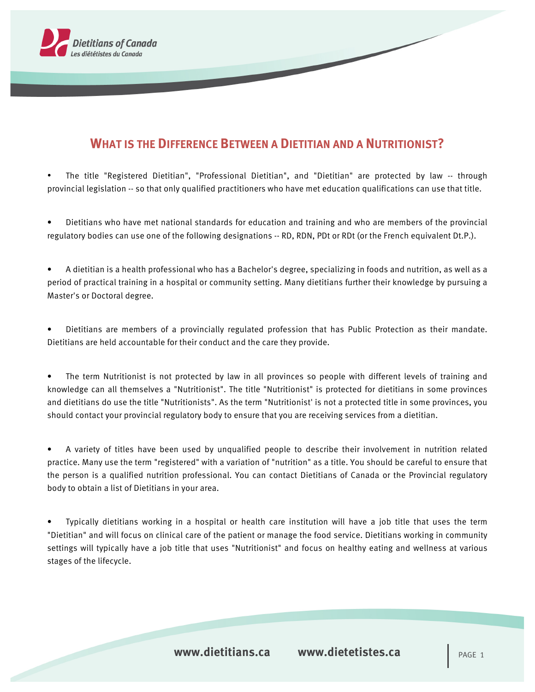

## **WHAT IS THE DIFFERENCE BETWEEN A DIETITIAN AND A NUTRITIONIST?**

• The title "Registered Dietitian", "Professional Dietitian", and "Dietitian" are protected by law -- through provincial legislation -- so that only qualified practitioners who have met education qualifications can use that title.

• Dietitians who have met national standards for education and training and who are members of the provincial regulatory bodies can use one of the following designations -- RD, RDN, PDt or RDt (or the French equivalent Dt.P.).

• A dietitian is a health professional who has a Bachelor's degree, specializing in foods and nutrition, as well as a period of practical training in a hospital or community setting. Many dietitians further their knowledge by pursuing a Master's or Doctoral degree.

• Dietitians are members of a provincially regulated profession that has Public Protection as their mandate. Dietitians are held accountable for their conduct and the care they provide.

• The term Nutritionist is not protected by law in all provinces so people with different levels of training and knowledge can all themselves a "Nutritionist". The title "Nutritionist" is protected for dietitians in some provinces and dietitians do use the title "Nutritionists". As the term "Nutritionist' is not a protected title in some provinces, you should contact your provincial regulatory body to ensure that you are receiving services from a dietitian.

• A variety of titles have been used by unqualified people to describe their involvement in nutrition related practice. Many use the term "registered" with a variation of "nutrition" as a title. You should be careful to ensure that the person is a qualified nutrition professional. You can contact Dietitians of Canada or the Provincial regulatory body to obtain a list of Dietitians in your area.

• Typically dietitians working in a hospital or health care institution will have a job title that uses the term "Dietitian" and will focus on clinical care of the patient or manage the food service. Dietitians working in community settings will typically have a job title that uses "Nutritionist" and focus on healthy eating and wellness at various stages of the lifecycle.